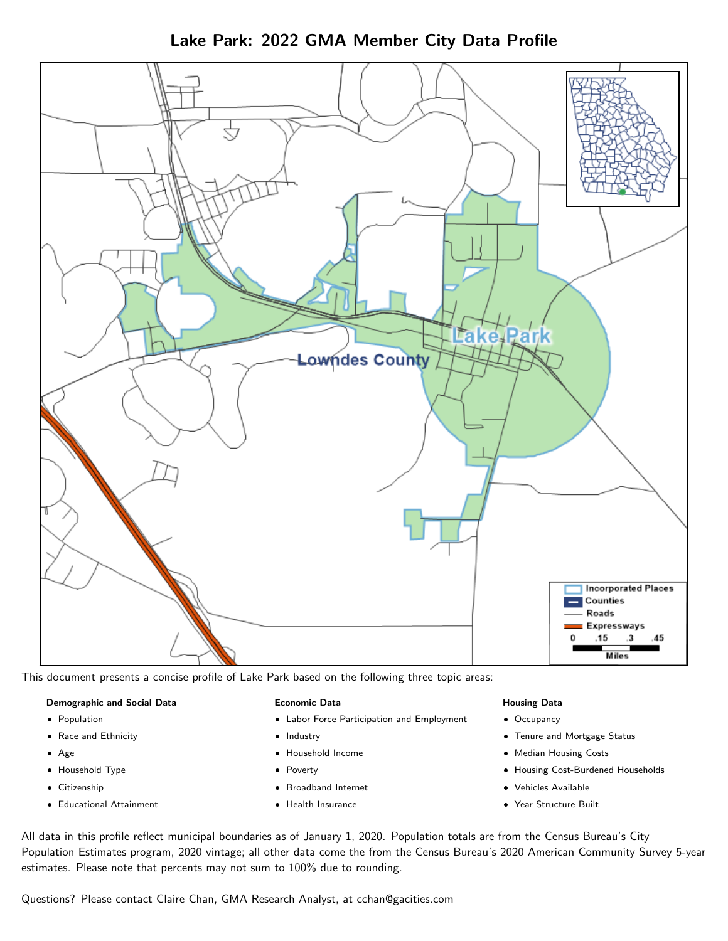Lake Park: 2022 GMA Member City Data Profile



This document presents a concise profile of Lake Park based on the following three topic areas:

#### Demographic and Social Data

- **•** Population
- Race and Ethnicity
- Age
- Household Type
- **Citizenship**
- Educational Attainment

### Economic Data

- Labor Force Participation and Employment
- Industry
- Household Income
- Poverty
- Broadband Internet
- Health Insurance

#### Housing Data

- Occupancy
- Tenure and Mortgage Status
- Median Housing Costs
- Housing Cost-Burdened Households
- Vehicles Available
- Year Structure Built

All data in this profile reflect municipal boundaries as of January 1, 2020. Population totals are from the Census Bureau's City Population Estimates program, 2020 vintage; all other data come the from the Census Bureau's 2020 American Community Survey 5-year estimates. Please note that percents may not sum to 100% due to rounding.

Questions? Please contact Claire Chan, GMA Research Analyst, at [cchan@gacities.com.](mailto:cchan@gacities.com)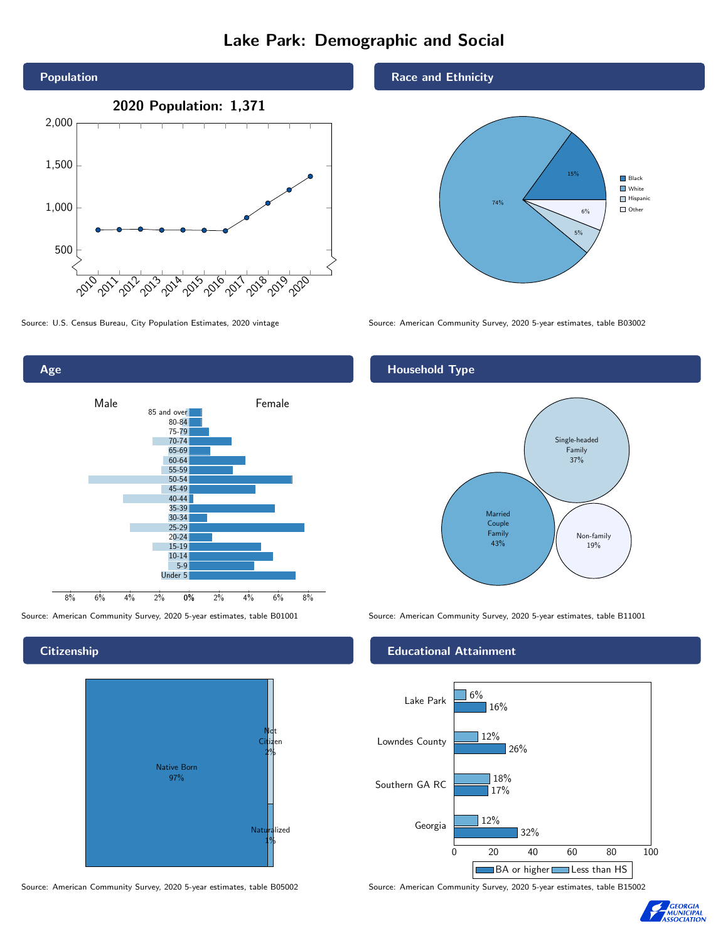# Lake Park: Demographic and Social





## **Citizenship**

Age



Source: American Community Survey, 2020 5-year estimates, table B05002 Source: American Community Survey, 2020 5-year estimates, table B15002

### Race and Ethnicity



Source: U.S. Census Bureau, City Population Estimates, 2020 vintage Source: American Community Survey, 2020 5-year estimates, table B03002

## Household Type



Source: American Community Survey, 2020 5-year estimates, table B01001 Source: American Community Survey, 2020 5-year estimates, table B11001

### Educational Attainment



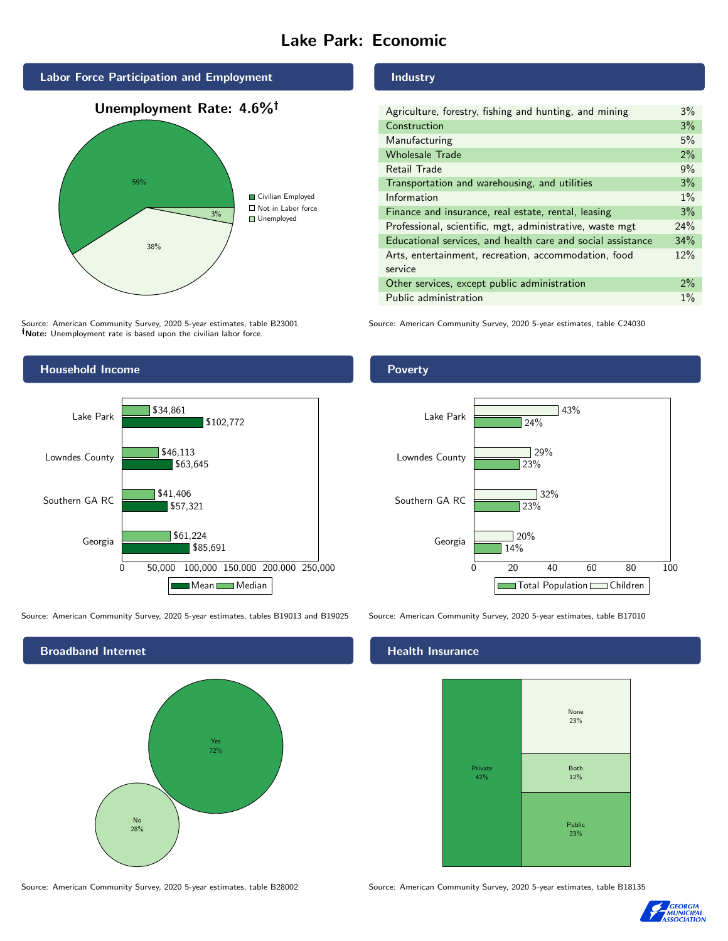# Lake Park: Economic



Source: American Community Survey, 2020 5-year estimates, table B23001 Note: Unemployment rate is based upon the civilian labor force.





Source: American Community Survey, 2020 5-year estimates, tables B19013 and B19025 Source: American Community Survey, 2020 5-year estimates, table B17010



Source: American Community Survey, 2020 5-year estimates, table B28002 Source: American Community Survey, 2020 5-year estimates, table B18135

Industry

| Agriculture, forestry, fishing and hunting, and mining      | $3\%$ |
|-------------------------------------------------------------|-------|
| Construction                                                | 3%    |
| Manufacturing                                               | 5%    |
| <b>Wholesale Trade</b>                                      | 2%    |
| Retail Trade                                                | 9%    |
| Transportation and warehousing, and utilities               | 3%    |
| Information                                                 | $1\%$ |
| Finance and insurance, real estate, rental, leasing         | 3%    |
| Professional, scientific, mgt, administrative, waste mgt    | 24%   |
| Educational services, and health care and social assistance | 34%   |
| Arts, entertainment, recreation, accommodation, food        | 12%   |
| service                                                     |       |
| Other services, except public administration                | $2\%$ |
| Public administration                                       | $1\%$ |

Source: American Community Survey, 2020 5-year estimates, table C24030

### Poverty



### Health Insurance